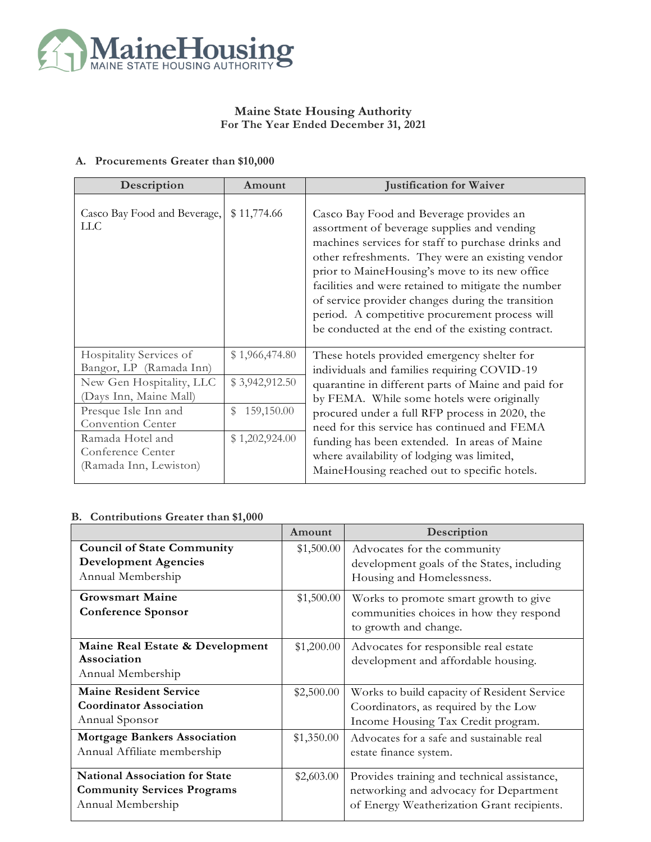

## **Maine State Housing Authority For The Year Ended December 31, 2021**

## **A. Procurements Greater than \$10,000**

| Description                                                                                                                      | Amount                                                         | <b>Justification for Waiver</b>                                                                                                                                                                                                                                                                                                                                                                                                                                       |  |
|----------------------------------------------------------------------------------------------------------------------------------|----------------------------------------------------------------|-----------------------------------------------------------------------------------------------------------------------------------------------------------------------------------------------------------------------------------------------------------------------------------------------------------------------------------------------------------------------------------------------------------------------------------------------------------------------|--|
| Casco Bay Food and Beverage,<br>LLC                                                                                              | \$11,774.66                                                    | Casco Bay Food and Beverage provides an<br>assortment of beverage supplies and vending<br>machines services for staff to purchase drinks and<br>other refreshments. They were an existing vendor<br>prior to MaineHousing's move to its new office<br>facilities and were retained to mitigate the number<br>of service provider changes during the transition<br>period. A competitive procurement process will<br>be conducted at the end of the existing contract. |  |
| Hospitality Services of<br>Bangor, LP (Ramada Inn)<br>New Gen Hospitality, LLC<br>(Days Inn, Maine Mall)<br>Presque Isle Inn and | \$1,966,474.80<br>\$3,942,912.50<br>$\mathbb{S}$<br>159,150.00 | These hotels provided emergency shelter for<br>individuals and families requiring COVID-19<br>quarantine in different parts of Maine and paid for<br>by FEMA. While some hotels were originally<br>procured under a full RFP process in 2020, the                                                                                                                                                                                                                     |  |
| Convention Center<br>Ramada Hotel and<br>Conference Center<br>(Ramada Inn, Lewiston)                                             | \$1,202,924.00                                                 | need for this service has continued and FEMA<br>funding has been extended. In areas of Maine<br>where availability of lodging was limited,<br>MaineHousing reached out to specific hotels.                                                                                                                                                                                                                                                                            |  |

## **B. Contributions Greater than \$1,000**

|                                                                                                  | Amount     | Description                                                                                                                         |
|--------------------------------------------------------------------------------------------------|------------|-------------------------------------------------------------------------------------------------------------------------------------|
| <b>Council of State Community</b><br><b>Development Agencies</b><br>Annual Membership            | \$1,500.00 | Advocates for the community<br>development goals of the States, including<br>Housing and Homelessness.                              |
| <b>Growsmart Maine</b><br><b>Conference Sponsor</b>                                              | \$1,500.00 | Works to promote smart growth to give<br>communities choices in how they respond<br>to growth and change.                           |
| Maine Real Estate & Development<br>Association<br>Annual Membership                              | \$1,200.00 | Advocates for responsible real estate<br>development and affordable housing.                                                        |
| <b>Maine Resident Service</b><br><b>Coordinator Association</b><br>Annual Sponsor                | \$2,500.00 | Works to build capacity of Resident Service<br>Coordinators, as required by the Low<br>Income Housing Tax Credit program.           |
| <b>Mortgage Bankers Association</b><br>Annual Affiliate membership                               | \$1,350.00 | Advocates for a safe and sustainable real<br>estate finance system.                                                                 |
| <b>National Association for State</b><br><b>Community Services Programs</b><br>Annual Membership | \$2,603.00 | Provides training and technical assistance,<br>networking and advocacy for Department<br>of Energy Weatherization Grant recipients. |